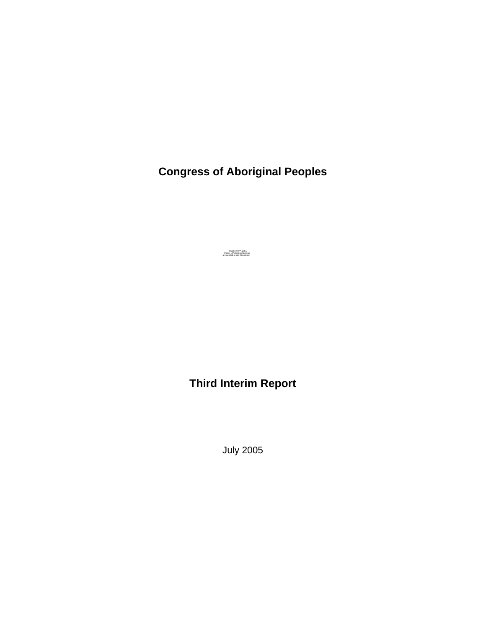**Congress of Aboriginal Peoples**

QuickTime™ and a Photo - JPEG decompressor are needed to see this picture.

**Third Interim Report** 

July 2005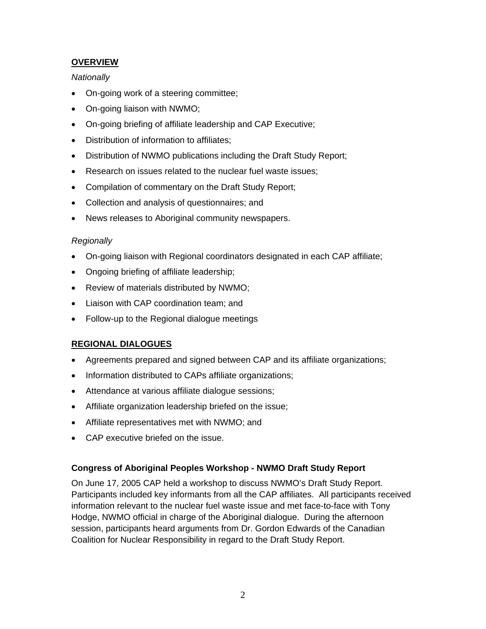## **OVERVIEW**

### *Nationally*

- On-going work of a steering committee;
- On-going liaison with NWMO;
- On-going briefing of affiliate leadership and CAP Executive;
- Distribution of information to affiliates;
- Distribution of NWMO publications including the Draft Study Report;
- Research on issues related to the nuclear fuel waste issues;
- Compilation of commentary on the Draft Study Report;
- Collection and analysis of questionnaires; and
- News releases to Aboriginal community newspapers.

## *Regionally*

- On-going liaison with Regional coordinators designated in each CAP affiliate;
- Ongoing briefing of affiliate leadership;
- Review of materials distributed by NWMO;
- Liaison with CAP coordination team; and
- Follow-up to the Regional dialogue meetings

# **REGIONAL DIALOGUES**

- Agreements prepared and signed between CAP and its affiliate organizations;
- Information distributed to CAPs affiliate organizations;
- Attendance at various affiliate dialogue sessions;
- Affiliate organization leadership briefed on the issue;
- Affiliate representatives met with NWMO; and
- CAP executive briefed on the issue.

# **Congress of Aboriginal Peoples Workshop - NWMO Draft Study Report**

On June 17, 2005 CAP held a workshop to discuss NWMO's Draft Study Report. Participants included key informants from all the CAP affiliates. All participants received information relevant to the nuclear fuel waste issue and met face-to-face with Tony Hodge, NWMO official in charge of the Aboriginal dialogue. During the afternoon session, participants heard arguments from Dr. Gordon Edwards of the Canadian Coalition for Nuclear Responsibility in regard to the Draft Study Report.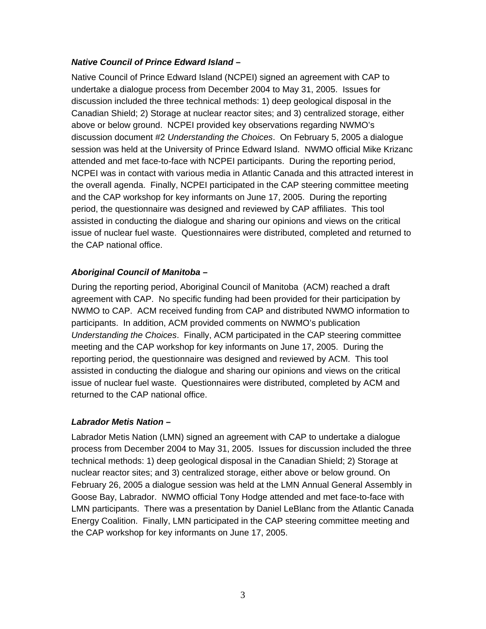### *Native Council of Prince Edward Island* **–**

Native Council of Prince Edward Island (NCPEI) signed an agreement with CAP to undertake a dialogue process from December 2004 to May 31, 2005. Issues for discussion included the three technical methods: 1) deep geological disposal in the Canadian Shield; 2) Storage at nuclear reactor sites; and 3) centralized storage, either above or below ground. NCPEI provided key observations regarding NWMO's discussion document #2 *Understanding the Choices*. On February 5, 2005 a dialogue session was held at the University of Prince Edward Island. NWMO official Mike Krizanc attended and met face-to-face with NCPEI participants. During the reporting period, NCPEI was in contact with various media in Atlantic Canada and this attracted interest in the overall agenda. Finally, NCPEI participated in the CAP steering committee meeting and the CAP workshop for key informants on June 17, 2005. During the reporting period, the questionnaire was designed and reviewed by CAP affiliates. This tool assisted in conducting the dialogue and sharing our opinions and views on the critical issue of nuclear fuel waste. Questionnaires were distributed, completed and returned to the CAP national office.

## *Aboriginal Council of Manitoba –*

During the reporting period, Aboriginal Council of Manitoba (ACM) reached a draft agreement with CAP. No specific funding had been provided for their participation by NWMO to CAP. ACM received funding from CAP and distributed NWMO information to participants. In addition, ACM provided comments on NWMO's publication *Understanding the Choices*. Finally, ACM participated in the CAP steering committee meeting and the CAP workshop for key informants on June 17, 2005. During the reporting period, the questionnaire was designed and reviewed by ACM. This tool assisted in conducting the dialogue and sharing our opinions and views on the critical issue of nuclear fuel waste. Questionnaires were distributed, completed by ACM and returned to the CAP national office.

## *Labrador Metis Nation –*

Labrador Metis Nation (LMN) signed an agreement with CAP to undertake a dialogue process from December 2004 to May 31, 2005. Issues for discussion included the three technical methods: 1) deep geological disposal in the Canadian Shield; 2) Storage at nuclear reactor sites; and 3) centralized storage, either above or below ground. On February 26, 2005 a dialogue session was held at the LMN Annual General Assembly in Goose Bay, Labrador. NWMO official Tony Hodge attended and met face-to-face with LMN participants. There was a presentation by Daniel LeBlanc from the Atlantic Canada Energy Coalition. Finally, LMN participated in the CAP steering committee meeting and the CAP workshop for key informants on June 17, 2005.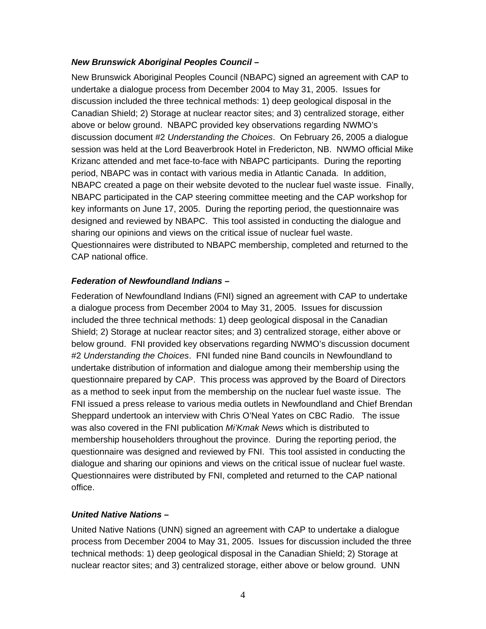### *New Brunswick Aboriginal Peoples Council –*

New Brunswick Aboriginal Peoples Council (NBAPC) signed an agreement with CAP to undertake a dialogue process from December 2004 to May 31, 2005. Issues for discussion included the three technical methods: 1) deep geological disposal in the Canadian Shield; 2) Storage at nuclear reactor sites; and 3) centralized storage, either above or below ground. NBAPC provided key observations regarding NWMO's discussion document #2 *Understanding the Choices*. On February 26, 2005 a dialogue session was held at the Lord Beaverbrook Hotel in Fredericton, NB. NWMO official Mike Krizanc attended and met face-to-face with NBAPC participants. During the reporting period, NBAPC was in contact with various media in Atlantic Canada. In addition, NBAPC created a page on their website devoted to the nuclear fuel waste issue. Finally, NBAPC participated in the CAP steering committee meeting and the CAP workshop for key informants on June 17, 2005. During the reporting period, the questionnaire was designed and reviewed by NBAPC. This tool assisted in conducting the dialogue and sharing our opinions and views on the critical issue of nuclear fuel waste. Questionnaires were distributed to NBAPC membership, completed and returned to the CAP national office.

#### *Federation of Newfoundland Indians –*

Federation of Newfoundland Indians (FNI) signed an agreement with CAP to undertake a dialogue process from December 2004 to May 31, 2005. Issues for discussion included the three technical methods: 1) deep geological disposal in the Canadian Shield; 2) Storage at nuclear reactor sites; and 3) centralized storage, either above or below ground. FNI provided key observations regarding NWMO's discussion document #2 *Understanding the Choices*. FNI funded nine Band councils in Newfoundland to undertake distribution of information and dialogue among their membership using the questionnaire prepared by CAP. This process was approved by the Board of Directors as a method to seek input from the membership on the nuclear fuel waste issue. The FNI issued a press release to various media outlets in Newfoundland and Chief Brendan Sheppard undertook an interview with Chris O'Neal Yates on CBC Radio. The issue was also covered in the FNI publication *Mi'Kmak News* which is distributed to membership householders throughout the province. During the reporting period, the questionnaire was designed and reviewed by FNI. This tool assisted in conducting the dialogue and sharing our opinions and views on the critical issue of nuclear fuel waste. Questionnaires were distributed by FNI, completed and returned to the CAP national office.

#### *United Native Nations –*

United Native Nations (UNN) signed an agreement with CAP to undertake a dialogue process from December 2004 to May 31, 2005. Issues for discussion included the three technical methods: 1) deep geological disposal in the Canadian Shield; 2) Storage at nuclear reactor sites; and 3) centralized storage, either above or below ground. UNN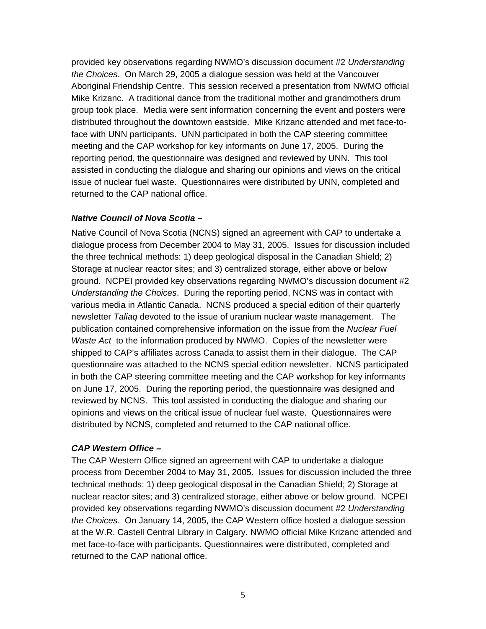provided key observations regarding NWMO's discussion document #2 *Understanding the Choices*. On March 29, 2005 a dialogue session was held at the Vancouver Aboriginal Friendship Centre. This session received a presentation from NWMO official Mike Krizanc. A traditional dance from the traditional mother and grandmothers drum group took place. Media were sent information concerning the event and posters were distributed throughout the downtown eastside. Mike Krizanc attended and met face-toface with UNN participants. UNN participated in both the CAP steering committee meeting and the CAP workshop for key informants on June 17, 2005. During the reporting period, the questionnaire was designed and reviewed by UNN. This tool assisted in conducting the dialogue and sharing our opinions and views on the critical issue of nuclear fuel waste. Questionnaires were distributed by UNN, completed and returned to the CAP national office.

## *Native Council of Nova Scotia –*

Native Council of Nova Scotia (NCNS) signed an agreement with CAP to undertake a dialogue process from December 2004 to May 31, 2005. Issues for discussion included the three technical methods: 1) deep geological disposal in the Canadian Shield; 2) Storage at nuclear reactor sites; and 3) centralized storage, either above or below ground. NCPEI provided key observations regarding NWMO's discussion document #2 *Understanding the Choices*. During the reporting period, NCNS was in contact with various media in Atlantic Canada. NCNS produced a special edition of their quarterly newsletter *Taliaq* devoted to the issue of uranium nuclear waste management. The publication contained comprehensive information on the issue from the *Nuclear Fuel Waste Act* to the information produced by NWMO. Copies of the newsletter were shipped to CAP's affiliates across Canada to assist them in their dialogue. The CAP questionnaire was attached to the NCNS special edition newsletter. NCNS participated in both the CAP steering committee meeting and the CAP workshop for key informants on June 17, 2005. During the reporting period, the questionnaire was designed and reviewed by NCNS. This tool assisted in conducting the dialogue and sharing our opinions and views on the critical issue of nuclear fuel waste. Questionnaires were distributed by NCNS, completed and returned to the CAP national office.

## *CAP Western Office –*

The CAP Western Office signed an agreement with CAP to undertake a dialogue process from December 2004 to May 31, 2005. Issues for discussion included the three technical methods: 1) deep geological disposal in the Canadian Shield; 2) Storage at nuclear reactor sites; and 3) centralized storage, either above or below ground. NCPEI provided key observations regarding NWMO's discussion document #2 *Understanding the Choices*. On January 14, 2005, the CAP Western office hosted a dialogue session at the W.R. Castell Central Library in Calgary. NWMO official Mike Krizanc attended and met face-to-face with participants. Questionnaires were distributed, completed and returned to the CAP national office.